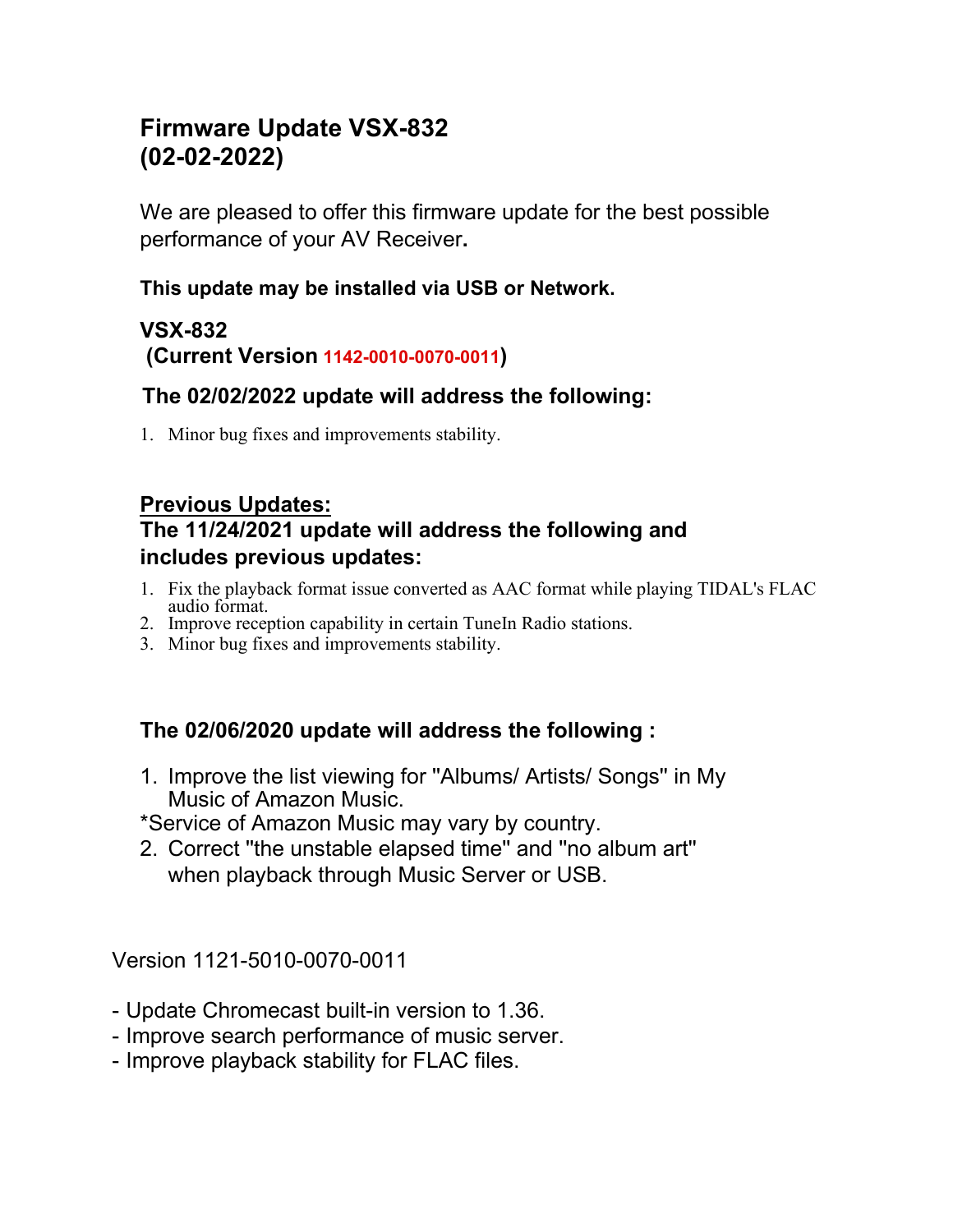# **Firmware Update VSX-832 (02-02-2022)**

We are pleased to offer this firmware update for the best possible performance of your AV Receiver**.**

#### **This update may be installed via USB or Network.**

## **VSX-832 (Current Version 1142-0010-0070-0011)**

# **The 02/02/2022 update will address the following:**

1. Minor bug fixes and improvements stability.

## **Previous Updates: The 11/24/2021 update will address the following and includes previous updates:**

- 1. Fix the playback format issue converted as AAC format while playing TIDAL's FLAC audio format.
- 2. Improve reception capability in certain TuneIn Radio stations.
- 3. Minor bug fixes and improvements stability.

## **The 02/06/2020 update will address the following :**

- 1. Improve the list viewing for ''Albums/ Artists/ Songs'' in My Music of Amazon Music.
- \*Service of Amazon Music may vary by country.
- 2. Correct ''the unstable elapsed time'' and ''no album art'' when playback through Music Server or USB.

Version 1121-5010-0070-0011

- Update Chromecast built-in version to 1.36.
- Improve search performance of music server.
- Improve playback stability for FLAC files.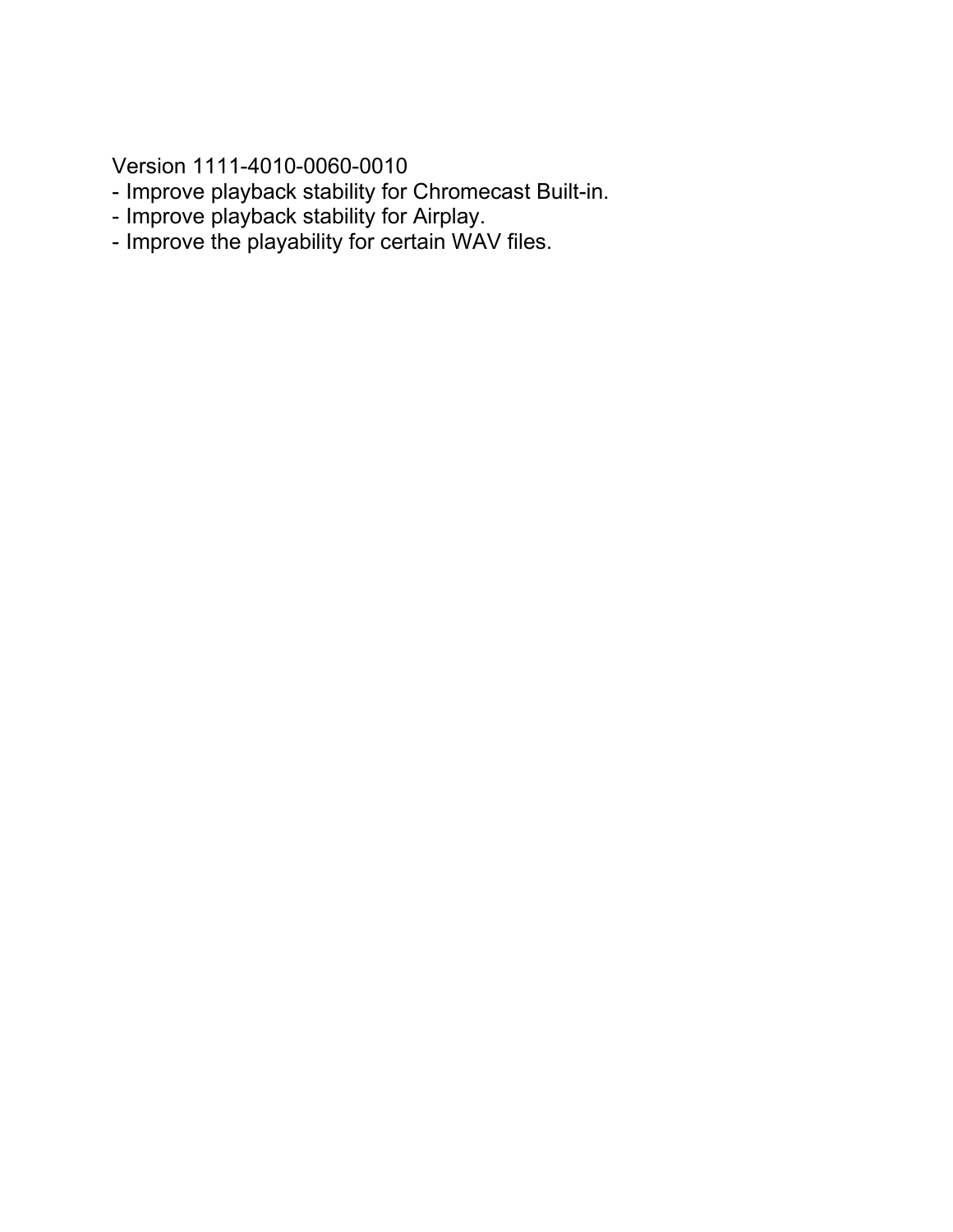Version 1111-4010-0060-0010

- Improve playback stability for Chromecast Built-in.
- Improve playback stability for Airplay.
- Improve the playability for certain WAV files.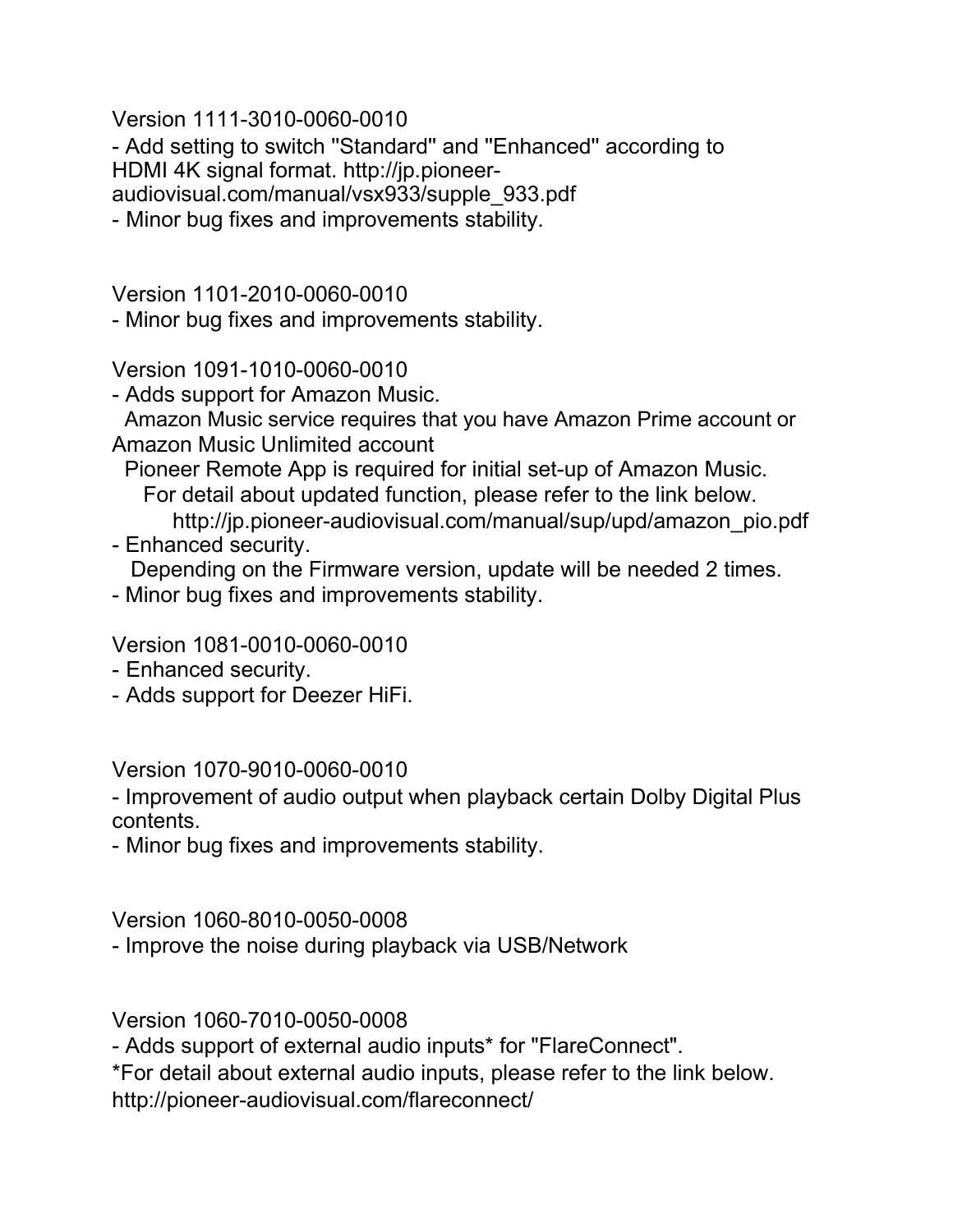Version 1111-3010-0060-0010

- Add setting to switch ''Standard'' and ''Enhanced'' according to HDMI 4K signal format. http://jp.pioneeraudiovisual.com/manual/vsx933/supple\_933.pdf

- Minor bug fixes and improvements stability.

Version 1101-2010-0060-0010

- Minor bug fixes and improvements stability.

Version 1091-1010-0060-0010

- Adds support for Amazon Music.

Amazon Music service requires that you have Amazon Prime account or Amazon Music Unlimited account

Pioneer Remote App is required for initial set-up of Amazon Music. For detail about updated function, please refer to the link below.

http://jp.pioneer-audiovisual.com/manual/sup/upd/amazon\_pio.pdf

- Enhanced security.

Depending on the Firmware version, update will be needed 2 times.

- Minor bug fixes and improvements stability.

Version 1081-0010-0060-0010

- Enhanced security.
- Adds support for Deezer HiFi.

Version 1070-9010-0060-0010

- Improvement of audio output when playback certain Dolby Digital Plus contents.

- Minor bug fixes and improvements stability.

Version 1060-8010-0050-0008

- Improve the noise during playback via USB/Network

Version 1060-7010-0050-0008

- Adds support of external audio inputs\* for "FlareConnect".

\*For detail about external audio inputs, please refer to the link below.

http://pioneer-audiovisual.com/flareconnect/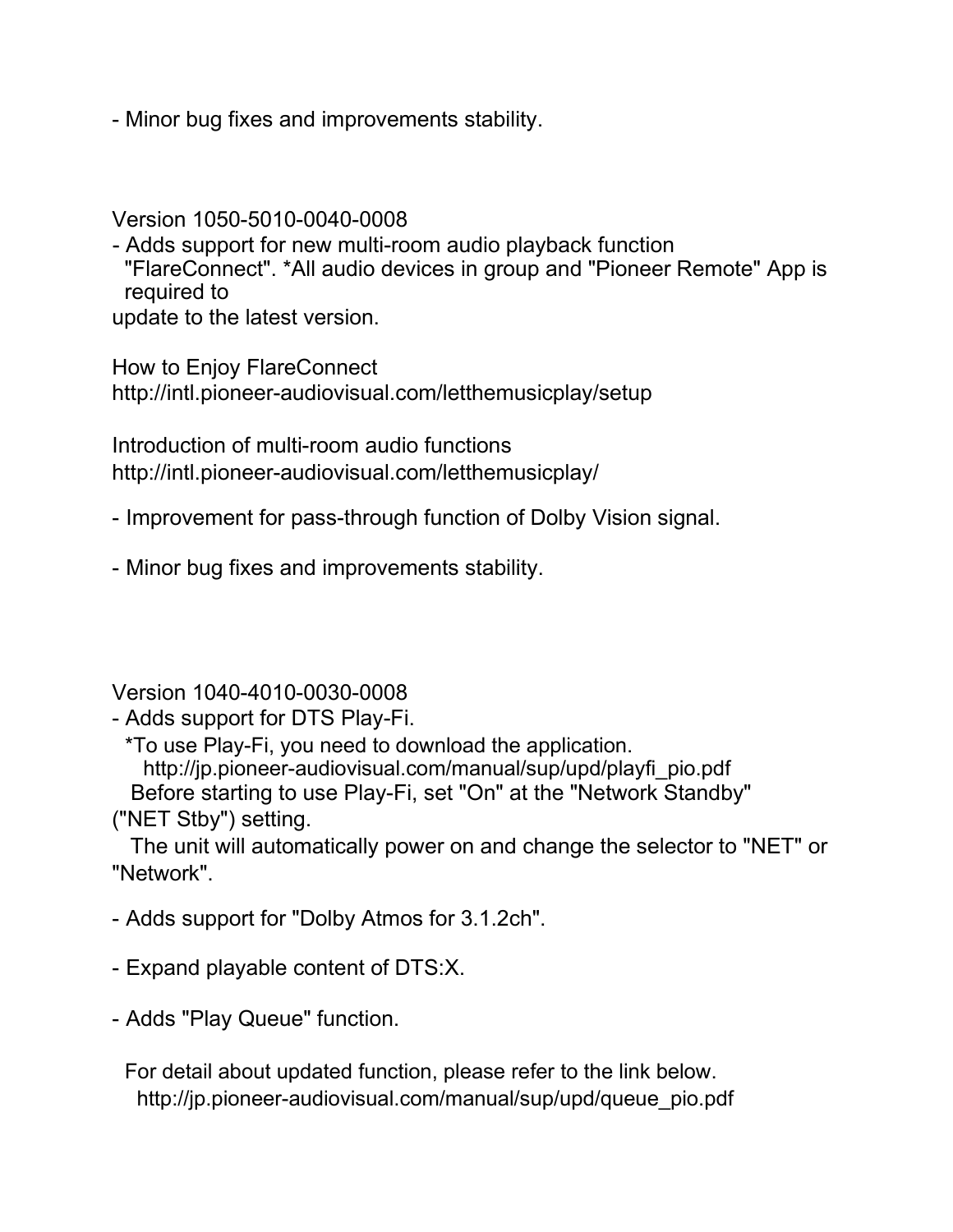- Minor bug fixes and improvements stability.

Version 1050-5010-0040-0008

- Adds support for new multi-room audio playback function "FlareConnect". \*All audio devices in group and "Pioneer Remote" App is required to

update to the latest version.

How to Enjoy FlareConnect http://intl.pioneer-audiovisual.com/letthemusicplay/setup

Introduction of multi-room audio functions http://intl.pioneer-audiovisual.com/letthemusicplay/

- Improvement for pass-through function of Dolby Vision signal.

- Minor bug fixes and improvements stability.

Version 1040-4010-0030-0008

- Adds support for DTS Play-Fi.

\*To use Play-Fi, you need to download the application. http://jp.pioneer-audiovisual.com/manual/sup/upd/playfi\_pio.pdf

Before starting to use Play-Fi, set "On" at the "Network Standby"

("NET Stby") setting.

The unit will automatically power on and change the selector to "NET" or "Network".

- Adds support for "Dolby Atmos for 3.1.2ch".

- Expand playable content of DTS:X.

- Adds "Play Queue" function.

For detail about updated function, please refer to the link below. http://jp.pioneer-audiovisual.com/manual/sup/upd/queue\_pio.pdf